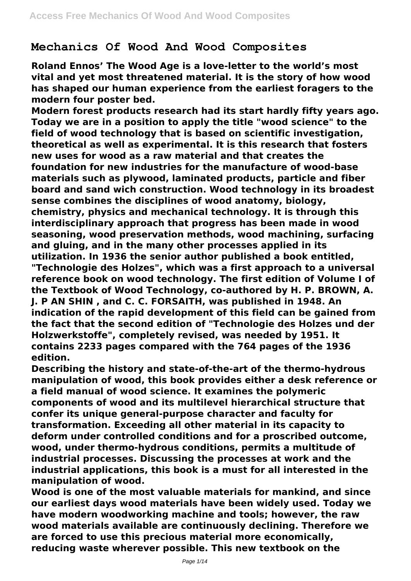# **Mechanics Of Wood And Wood Composites**

**Roland Ennos' The Wood Age is a love-letter to the world's most vital and yet most threatened material. It is the story of how wood has shaped our human experience from the earliest foragers to the modern four poster bed.**

**Modern forest products research had its start hardly fifty years ago. Today we are in a position to apply the title "wood science" to the field of wood technology that is based on scientific investigation, theoretical as well as experimental. It is this research that fosters new uses for wood as a raw material and that creates the foundation for new industries for the manufacture of wood-base materials such as plywood, laminated products, particle and fiber board and sand wich construction. Wood technology in its broadest sense combines the disciplines of wood anatomy, biology, chemistry, physics and mechanical technology. It is through this interdisciplinary approach that progress has been made in wood seasoning, wood preservation methods, wood machining, surfacing and gluing, and in the many other processes applied in its utilization. In 1936 the senior author published a book entitled, "Technologie des Holzes", which was a first approach to a universal reference book on wood technology. The first edition of Volume I of the Textbook of Wood Technology, co-authored by H. P. BROWN, A. J. P AN SHIN , and C. C. FORSAITH, was published in 1948. An indication of the rapid development of this field can be gained from the fact that the second edition of "Technologie des Holzes und der Holzwerkstoffe", completely revised, was needed by 1951. It contains 2233 pages compared with the 764 pages of the 1936 edition.**

**Describing the history and state-of-the-art of the thermo-hydrous manipulation of wood, this book provides either a desk reference or a field manual of wood science. It examines the polymeric components of wood and its multilevel hierarchical structure that confer its unique general-purpose character and faculty for transformation. Exceeding all other material in its capacity to deform under controlled conditions and for a proscribed outcome, wood, under thermo-hydrous conditions, permits a multitude of industrial processes. Discussing the processes at work and the industrial applications, this book is a must for all interested in the manipulation of wood.**

**Wood is one of the most valuable materials for mankind, and since our earliest days wood materials have been widely used. Today we have modern woodworking machine and tools; however, the raw wood materials available are continuously declining. Therefore we are forced to use this precious material more economically, reducing waste wherever possible. This new textbook on the**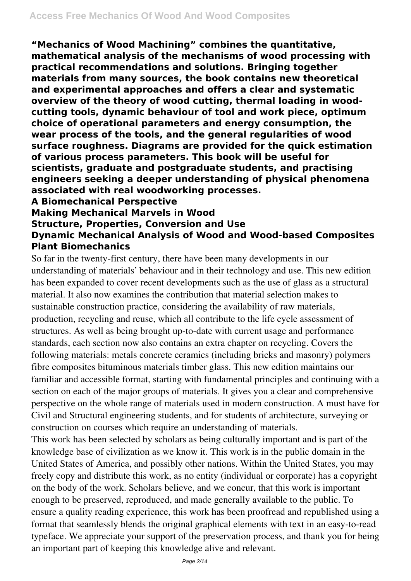**"Mechanics of Wood Machining" combines the quantitative, mathematical analysis of the mechanisms of wood processing with practical recommendations and solutions. Bringing together materials from many sources, the book contains new theoretical and experimental approaches and offers a clear and systematic overview of the theory of wood cutting, thermal loading in woodcutting tools, dynamic behaviour of tool and work piece, optimum choice of operational parameters and energy consumption, the wear process of the tools, and the general regularities of wood surface roughness. Diagrams are provided for the quick estimation of various process parameters. This book will be useful for scientists, graduate and postgraduate students, and practising engineers seeking a deeper understanding of physical phenomena associated with real woodworking processes.**

**A Biomechanical Perspective**

# **Making Mechanical Marvels in Wood Structure, Properties, Conversion and Use Dynamic Mechanical Analysis of Wood and Wood-based Composites Plant Biomechanics**

So far in the twenty-first century, there have been many developments in our understanding of materials' behaviour and in their technology and use. This new edition has been expanded to cover recent developments such as the use of glass as a structural material. It also now examines the contribution that material selection makes to sustainable construction practice, considering the availability of raw materials, production, recycling and reuse, which all contribute to the life cycle assessment of structures. As well as being brought up-to-date with current usage and performance standards, each section now also contains an extra chapter on recycling. Covers the following materials: metals concrete ceramics (including bricks and masonry) polymers fibre composites bituminous materials timber glass. This new edition maintains our familiar and accessible format, starting with fundamental principles and continuing with a section on each of the major groups of materials. It gives you a clear and comprehensive perspective on the whole range of materials used in modern construction. A must have for Civil and Structural engineering students, and for students of architecture, surveying or construction on courses which require an understanding of materials.

This work has been selected by scholars as being culturally important and is part of the knowledge base of civilization as we know it. This work is in the public domain in the United States of America, and possibly other nations. Within the United States, you may freely copy and distribute this work, as no entity (individual or corporate) has a copyright on the body of the work. Scholars believe, and we concur, that this work is important enough to be preserved, reproduced, and made generally available to the public. To ensure a quality reading experience, this work has been proofread and republished using a format that seamlessly blends the original graphical elements with text in an easy-to-read typeface. We appreciate your support of the preservation process, and thank you for being an important part of keeping this knowledge alive and relevant.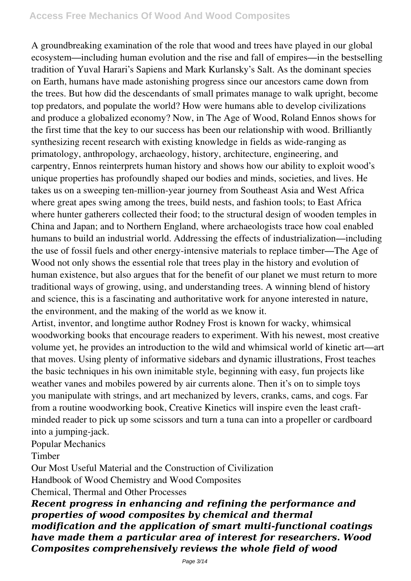#### **Access Free Mechanics Of Wood And Wood Composites**

A groundbreaking examination of the role that wood and trees have played in our global ecosystem—including human evolution and the rise and fall of empires—in the bestselling tradition of Yuval Harari's Sapiens and Mark Kurlansky's Salt. As the dominant species on Earth, humans have made astonishing progress since our ancestors came down from the trees. But how did the descendants of small primates manage to walk upright, become top predators, and populate the world? How were humans able to develop civilizations and produce a globalized economy? Now, in The Age of Wood, Roland Ennos shows for the first time that the key to our success has been our relationship with wood. Brilliantly synthesizing recent research with existing knowledge in fields as wide-ranging as primatology, anthropology, archaeology, history, architecture, engineering, and carpentry, Ennos reinterprets human history and shows how our ability to exploit wood's unique properties has profoundly shaped our bodies and minds, societies, and lives. He takes us on a sweeping ten-million-year journey from Southeast Asia and West Africa where great apes swing among the trees, build nests, and fashion tools; to East Africa where hunter gatherers collected their food; to the structural design of wooden temples in China and Japan; and to Northern England, where archaeologists trace how coal enabled humans to build an industrial world. Addressing the effects of industrialization—including the use of fossil fuels and other energy-intensive materials to replace timber—The Age of Wood not only shows the essential role that trees play in the history and evolution of human existence, but also argues that for the benefit of our planet we must return to more traditional ways of growing, using, and understanding trees. A winning blend of history and science, this is a fascinating and authoritative work for anyone interested in nature, the environment, and the making of the world as we know it.

Artist, inventor, and longtime author Rodney Frost is known for wacky, whimsical woodworking books that encourage readers to experiment. With his newest, most creative volume yet, he provides an introduction to the wild and whimsical world of kinetic art—art that moves. Using plenty of informative sidebars and dynamic illustrations, Frost teaches the basic techniques in his own inimitable style, beginning with easy, fun projects like weather vanes and mobiles powered by air currents alone. Then it's on to simple toys you manipulate with strings, and art mechanized by levers, cranks, cams, and cogs. Far from a routine woodworking book, Creative Kinetics will inspire even the least craftminded reader to pick up some scissors and turn a tuna can into a propeller or cardboard into a jumping-jack.

Popular Mechanics

Timber

Our Most Useful Material and the Construction of Civilization Handbook of Wood Chemistry and Wood Composites Chemical, Thermal and Other Processes

*Recent progress in enhancing and refining the performance and properties of wood composites by chemical and thermal modification and the application of smart multi-functional coatings have made them a particular area of interest for researchers. Wood Composites comprehensively reviews the whole field of wood*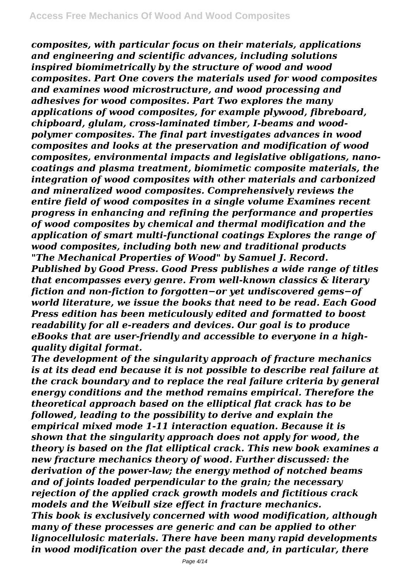*composites, with particular focus on their materials, applications and engineering and scientific advances, including solutions inspired biomimetrically by the structure of wood and wood composites. Part One covers the materials used for wood composites and examines wood microstructure, and wood processing and adhesives for wood composites. Part Two explores the many applications of wood composites, for example plywood, fibreboard, chipboard, glulam, cross-laminated timber, I-beams and woodpolymer composites. The final part investigates advances in wood composites and looks at the preservation and modification of wood composites, environmental impacts and legislative obligations, nanocoatings and plasma treatment, biomimetic composite materials, the integration of wood composites with other materials and carbonized and mineralized wood composites. Comprehensively reviews the entire field of wood composites in a single volume Examines recent progress in enhancing and refining the performance and properties of wood composites by chemical and thermal modification and the application of smart multi-functional coatings Explores the range of wood composites, including both new and traditional products "The Mechanical Properties of Wood" by Samuel J. Record. Published by Good Press. Good Press publishes a wide range of titles that encompasses every genre. From well-known classics & literary fiction and non-fiction to forgotten−or yet undiscovered gems−of world literature, we issue the books that need to be read. Each Good Press edition has been meticulously edited and formatted to boost readability for all e-readers and devices. Our goal is to produce eBooks that are user-friendly and accessible to everyone in a highquality digital format.*

*The development of the singularity approach of fracture mechanics is at its dead end because it is not possible to describe real failure at the crack boundary and to replace the real failure criteria by general energy conditions and the method remains empirical. Therefore the theoretical approach based on the elliptical flat crack has to be followed, leading to the possibility to derive and explain the empirical mixed mode 1-11 interaction equation. Because it is shown that the singularity approach does not apply for wood, the theory is based on the flat elliptical crack. This new book examines a new fracture mechanics theory of wood. Further discussed: the derivation of the power-law; the energy method of notched beams and of joints loaded perpendicular to the grain; the necessary rejection of the applied crack growth models and fictitious crack models and the Weibull size effect in fracture mechanics. This book is exclusively concerned with wood modification, although many of these processes are generic and can be applied to other lignocellulosic materials. There have been many rapid developments in wood modification over the past decade and, in particular, there*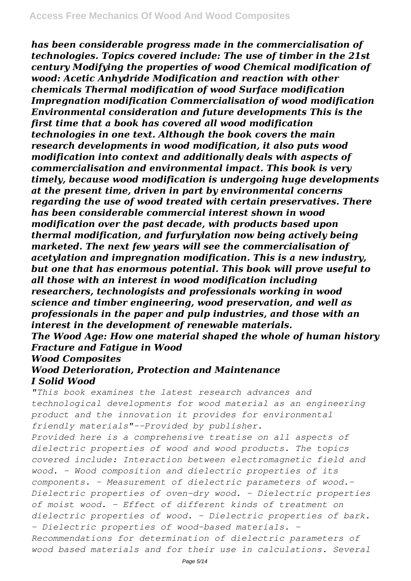*has been considerable progress made in the commercialisation of technologies. Topics covered include: The use of timber in the 21st century Modifying the properties of wood Chemical modification of wood: Acetic Anhydride Modification and reaction with other chemicals Thermal modification of wood Surface modification Impregnation modification Commercialisation of wood modification Environmental consideration and future developments This is the first time that a book has covered all wood modification technologies in one text. Although the book covers the main research developments in wood modification, it also puts wood modification into context and additionally deals with aspects of commercialisation and environmental impact. This book is very timely, because wood modification is undergoing huge developments at the present time, driven in part by environmental concerns regarding the use of wood treated with certain preservatives. There has been considerable commercial interest shown in wood modification over the past decade, with products based upon thermal modification, and furfurylation now being actively being marketed. The next few years will see the commercialisation of acetylation and impregnation modification. This is a new industry, but one that has enormous potential. This book will prove useful to all those with an interest in wood modification including researchers, technologists and professionals working in wood science and timber engineering, wood preservation, and well as professionals in the paper and pulp industries, and those with an interest in the development of renewable materials. The Wood Age: How one material shaped the whole of human history Fracture and Fatigue in Wood*

#### *Wood Composites*

# *Wood Deterioration, Protection and Maintenance I Solid Wood*

*"This book examines the latest research advances and technological developments for wood material as an engineering product and the innovation it provides for environmental friendly materials"--Provided by publisher. Provided here is a comprehensive treatise on all aspects of dielectric properties of wood and wood products. The topics covered include: Interaction between electromagnetic field and wood. - Wood composition and dielectric properties of its components. - Measurement of dielectric parameters of wood.- Dielectric properties of oven-dry wood. - Dielectric properties of moist wood. - Effect of different kinds of treatment on dielectric properties of wood. - Dielectric properties of bark. - Dielectric properties of wood-based materials. - Recommendations for determination of dielectric parameters of*

*wood based materials and for their use in calculations. Several*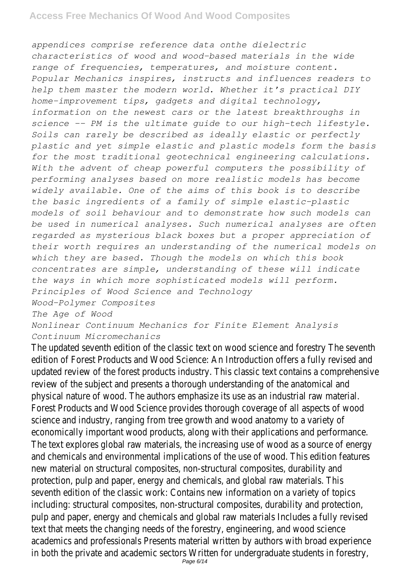#### **Access Free Mechanics Of Wood And Wood Composites**

*appendices comprise reference data onthe dielectric characteristics of wood and wood-based materials in the wide range of frequencies, temperatures, and moisture content. Popular Mechanics inspires, instructs and influences readers to help them master the modern world. Whether it's practical DIY home-improvement tips, gadgets and digital technology, information on the newest cars or the latest breakthroughs in science -- PM is the ultimate guide to our high-tech lifestyle. Soils can rarely be described as ideally elastic or perfectly plastic and yet simple elastic and plastic models form the basis for the most traditional geotechnical engineering calculations. With the advent of cheap powerful computers the possibility of performing analyses based on more realistic models has become widely available. One of the aims of this book is to describe the basic ingredients of a family of simple elastic-plastic models of soil behaviour and to demonstrate how such models can be used in numerical analyses. Such numerical analyses are often regarded as mysterious black boxes but a proper appreciation of their worth requires an understanding of the numerical models on which they are based. Though the models on which this book concentrates are simple, understanding of these will indicate the ways in which more sophisticated models will perform. Principles of Wood Science and Technology Wood-Polymer Composites The Age of Wood Nonlinear Continuum Mechanics for Finite Element Analysis*

*Continuum Micromechanics*

The updated seventh edition of the classic text on wood science and forestry The seventh edition of Forest Products and Wood Science: An Introduction offers a fully revised and updated review of the forest products industry. This classic text contains a comprehensive review of the subject and presents a thorough understanding of the anatomical and physical nature of wood. The authors emphasize its use as an industrial raw material. Forest Products and Wood Science provides thorough coverage of all aspects of wood science and industry, ranging from tree growth and wood anatomy to a variety of economically important wood products, along with their applications and performance. The text explores global raw materials, the increasing use of wood as a source of energy and chemicals and environmental implications of the use of wood. This edition features new material on structural composites, non-structural composites, durability and protection, pulp and paper, energy and chemicals, and global raw materials. This seventh edition of the classic work: Contains new information on a variety of topics including: structural composites, non-structural composites, durability and protection, pulp and paper, energy and chemicals and global raw materials Includes a fully revised text that meets the changing needs of the forestry, engineering, and wood science academics and professionals Presents material written by authors with broad experience in both the private and academic sectors Written for undergraduate students in forestry,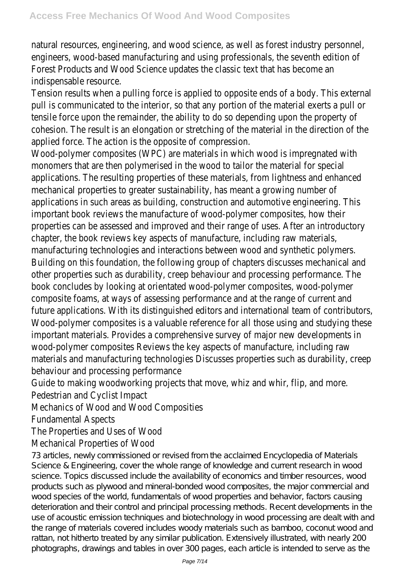natural resources, engineering, and wood science, as well as forest industry personnel, engineers, wood-based manufacturing and using professionals, the seventh edition of Forest Products and Wood Science updates the classic text that has become an indispensable resource.

Tension results when a pulling force is applied to opposite ends of a body. This external pull is communicated to the interior, so that any portion of the material exerts a pull or tensile force upon the remainder, the ability to do so depending upon the property of cohesion. The result is an elongation or stretching of the material in the direction of the applied force. The action is the opposite of compression.

Wood-polymer composites (WPC) are materials in which wood is impregnated with monomers that are then polymerised in the wood to tailor the material for special applications. The resulting properties of these materials, from lightness and enhanced mechanical properties to greater sustainability, has meant a growing number of applications in such areas as building, construction and automotive engineering. This important book reviews the manufacture of wood-polymer composites, how their properties can be assessed and improved and their range of uses. After an introductory chapter, the book reviews key aspects of manufacture, including raw materials, manufacturing technologies and interactions between wood and synthetic polymers. Building on this foundation, the following group of chapters discusses mechanical and other properties such as durability, creep behaviour and processing performance. The book concludes by looking at orientated wood-polymer composites, wood-polymer composite foams, at ways of assessing performance and at the range of current and future applications. With its distinguished editors and international team of contributors, Wood-polymer composites is a valuable reference for all those using and studying these important materials. Provides a comprehensive survey of major new developments in wood-polymer composites Reviews the key aspects of manufacture, including raw materials and manufacturing technologies Discusses properties such as durability, creep behaviour and processing performance

Guide to making woodworking projects that move, whiz and whir, flip, and more. Pedestrian and Cyclist Impact

Mechanics of Wood and Wood Composities

Fundamental Aspects

The Properties and Uses of Wood

# Mechanical Properties of Wood

73 articles, newly commissioned or revised from the acclaimed Encyclopedia of Materials Science & Engineering, cover the whole range of knowledge and current research in wood science. Topics discussed include the availability of economics and timber resources, wood products such as plywood and mineral-bonded wood composites, the major commercial and wood species of the world, fundamentals of wood properties and behavior, factors causing deterioration and their control and principal processing methods. Recent developments in the use of acoustic emission techniques and biotechnology in wood processing are dealt with and the range of materials covered includes woody materials such as bamboo, coconut wood and rattan, not hitherto treated by any similar publication. Extensively illustrated, with nearly 200 photographs, drawings and tables in over 300 pages, each article is intended to serve as the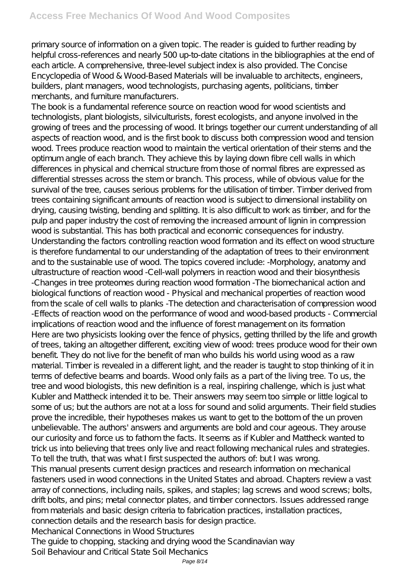primary source of information on a given topic. The reader is guided to further reading by helpful cross-references and nearly 500 up-to-date citations in the bibliographies at the end of each article. A comprehensive, three-level subject index is also provided. The Concise Encyclopedia of Wood & Wood-Based Materials will be invaluable to architects, engineers, builders, plant managers, wood technologists, purchasing agents, politicians, timber merchants, and furniture manufacturers.

The book is a fundamental reference source on reaction wood for wood scientists and technologists, plant biologists, silviculturists, forest ecologists, and anyone involved in the growing of trees and the processing of wood. It brings together our current understanding of all aspects of reaction wood, and is the first book to discuss both compression wood and tension wood. Trees produce reaction wood to maintain the vertical orientation of their stems and the optimum angle of each branch. They achieve this by laying down fibre cell walls in which differences in physical and chemical structure from those of normal fibres are expressed as differential stresses across the stem or branch. This process, while of obvious value for the survival of the tree, causes serious problems for the utilisation of timber. Timber derived from trees containing significant amounts of reaction wood is subject to dimensional instability on drying, causing twisting, bending and splitting. It is also difficult to work as timber, and for the pulp and paper industry the cost of removing the increased amount of lignin in compression wood is substantial. This has both practical and economic consequences for industry. Understanding the factors controlling reaction wood formation and its effect on wood structure is therefore fundamental to our understanding of the adaptation of trees to their environment and to the sustainable use of wood. The topics covered include: -Morphology, anatomy and ultrastructure of reaction wood -Cell-wall polymers in reaction wood and their biosynthesis -Changes in tree proteomes during reaction wood formation -The biomechanical action and biological functions of reaction wood - Physical and mechanical properties of reaction wood from the scale of cell walls to planks -The detection and characterisation of compression wood -Effects of reaction wood on the performance of wood and wood-based products - Commercial implications of reaction wood and the influence of forest management on its formation Here are two physicists looking over the fence of physics, getting thrilled by the life and growth of trees, taking an altogether different, exciting view of wood: trees produce wood for their own benefit. They do not live for the benefit of man who builds his world using wood as a raw material. Timber is revealed in a different light, and the reader is taught to stop thinking of it in terms of defective beams and boards. Wood only fails as a part of the living tree. To us, the tree and wood biologists, this new definition is a real, inspiring challenge, which is just what Kubler and Mattheck intended it to be. Their answers may seem too simple or little logical to some of us; but the authors are not at a loss for sound and solid arguments. Their field studies prove the incredible, their hypotheses makes us want to get to the bottom of the un proven unbelievable. The authors' answers and arguments are bold and cour ageous. They arouse our curiosity and force us to fathom the facts. It seems as if Kubler and Mattheck wanted to trick us into believing that trees only live and react following mechanical rules and strategies. To tell the truth, that was what I first suspected the authors of: but I was wrong. This manual presents current design practices and research information on mechanical

fasteners used in wood connections in the United States and abroad. Chapters review a vast array of connections, including nails, spikes, and staples; lag screws and wood screws; bolts, drift bolts, and pins; metal connector plates, and timber connectors. Issues addressed range from materials and basic design criteria to fabrication practices, installation practices, connection details and the research basis for design practice.

Mechanical Connections in Wood Structures

The guide to chopping, stacking and drying wood the Scandinavian way Soil Behaviour and Critical State Soil Mechanics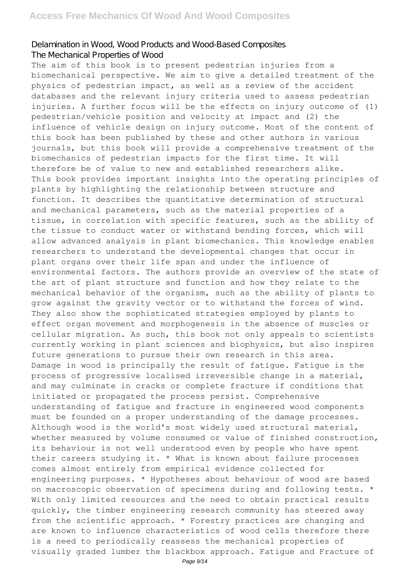Delamination in Wood, Wood Products and Wood-Based Composites The Mechanical Properties of Wood

The aim of this book is to present pedestrian injuries from a biomechanical perspective. We aim to give a detailed treatment of the physics of pedestrian impact, as well as a review of the accident databases and the relevant injury criteria used to assess pedestrian injuries. A further focus will be the effects on injury outcome of (1) pedestrian/vehicle position and velocity at impact and (2) the influence of vehicle design on injury outcome. Most of the content of this book has been published by these and other authors in various journals, but this book will provide a comprehensive treatment of the biomechanics of pedestrian impacts for the first time. It will therefore be of value to new and established researchers alike. This book provides important insights into the operating principles of plants by highlighting the relationship between structure and function. It describes the quantitative determination of structural and mechanical parameters, such as the material properties of a tissue, in correlation with specific features, such as the ability of the tissue to conduct water or withstand bending forces, which will allow advanced analysis in plant biomechanics. This knowledge enables researchers to understand the developmental changes that occur in plant organs over their life span and under the influence of environmental factors. The authors provide an overview of the state of the art of plant structure and function and how they relate to the mechanical behavior of the organism, such as the ability of plants to grow against the gravity vector or to withstand the forces of wind. They also show the sophisticated strategies employed by plants to effect organ movement and morphogenesis in the absence of muscles or cellular migration. As such, this book not only appeals to scientists currently working in plant sciences and biophysics, but also inspires future generations to pursue their own research in this area. Damage in wood is principally the result of fatigue. Fatigue is the process of progressive localised irreversible change in a material, and may culminate in cracks or complete fracture if conditions that initiated or propagated the process persist. Comprehensive understanding of fatigue and fracture in engineered wood components must be founded on a proper understanding of the damage processes. Although wood is the world's most widely used structural material, whether measured by volume consumed or value of finished construction, its behaviour is not well understood even by people who have spent their careers studying it. \* What is known about failure processes comes almost entirely from empirical evidence collected for engineering purposes. \* Hypotheses about behaviour of wood are based on macroscopic observation of specimens during and following tests. \* With only limited resources and the need to obtain practical results quickly, the timber engineering research community has steered away from the scientific approach. \* Forestry practices are changing and are known to influence characteristics of wood cells therefore there is a need to periodically reassess the mechanical properties of visually graded lumber the blackbox approach. Fatigue and Fracture of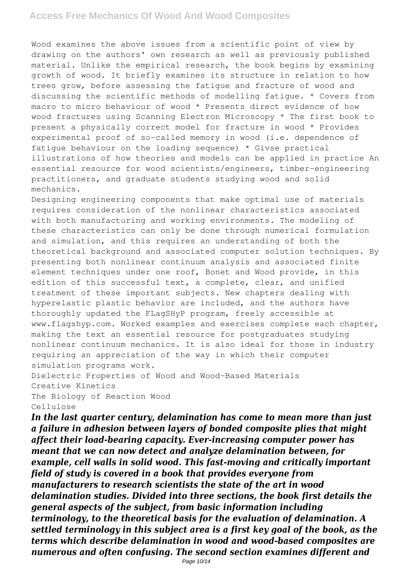#### **Access Free Mechanics Of Wood And Wood Composites**

Wood examines the above issues from a scientific point of view by drawing on the authors' own research as well as previously published material. Unlike the empirical research, the book begins by examining growth of wood. It briefly examines its structure in relation to how trees grow, before assessing the fatigue and fracture of wood and discussing the scientific methods of modelling fatigue. \* Covers from macro to micro behaviour of wood \* Presents direct evidence of how wood fractures using Scanning Electron Microscopy \* The first book to present a physically correct model for fracture in wood \* Provides experimental proof of so-called memory in wood (i.e. dependence of fatigue behaviour on the loading sequence) \* Givse practical illustrations of how theories and models can be applied in practice An essential resource for wood scientists/engineers, timber-engineering practitioners, and graduate students studying wood and solid mechanics.

Designing engineering components that make optimal use of materials requires consideration of the nonlinear characteristics associated with both manufacturing and working environments. The modeling of these characteristics can only be done through numerical formulation and simulation, and this requires an understanding of both the theoretical background and associated computer solution techniques. By presenting both nonlinear continuum analysis and associated finite element techniques under one roof, Bonet and Wood provide, in this edition of this successful text, a complete, clear, and unified treatment of these important subjects. New chapters dealing with hyperelastic plastic behavior are included, and the authors have thoroughly updated the FLagSHyP program, freely accessible at www.flagshyp.com. Worked examples and exercises complete each chapter, making the text an essential resource for postgraduates studying nonlinear continuum mechanics. It is also ideal for those in industry requiring an appreciation of the way in which their computer simulation programs work. Dielectric Properties of Wood and Wood-Based Materials Creative Kinetics The Biology of Reaction Wood

Cellulose

*In the last quarter century, delamination has come to mean more than just a failure in adhesion between layers of bonded composite plies that might affect their load-bearing capacity. Ever-increasing computer power has meant that we can now detect and analyze delamination between, for example, cell walls in solid wood. This fast-moving and critically important field of study is covered in a book that provides everyone from manufacturers to research scientists the state of the art in wood delamination studies. Divided into three sections, the book first details the general aspects of the subject, from basic information including terminology, to the theoretical basis for the evaluation of delamination. A settled terminology in this subject area is a first key goal of the book, as the terms which describe delamination in wood and wood-based composites are numerous and often confusing. The second section examines different and*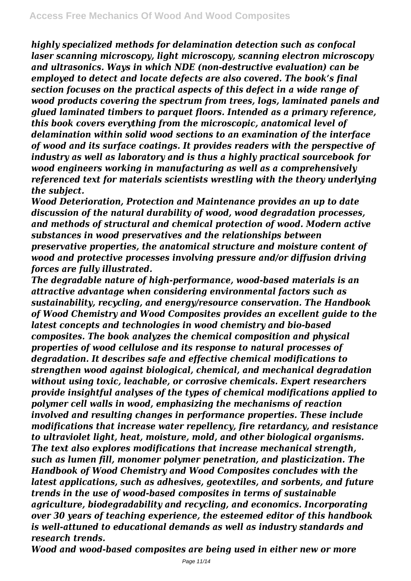*highly specialized methods for delamination detection such as confocal laser scanning microscopy, light microscopy, scanning electron microscopy and ultrasonics. Ways in which NDE (non-destructive evaluation) can be employed to detect and locate defects are also covered. The book's final section focuses on the practical aspects of this defect in a wide range of wood products covering the spectrum from trees, logs, laminated panels and glued laminated timbers to parquet floors. Intended as a primary reference, this book covers everything from the microscopic, anatomical level of delamination within solid wood sections to an examination of the interface of wood and its surface coatings. It provides readers with the perspective of industry as well as laboratory and is thus a highly practical sourcebook for wood engineers working in manufacturing as well as a comprehensively referenced text for materials scientists wrestling with the theory underlying the subject.*

*Wood Deterioration, Protection and Maintenance provides an up to date discussion of the natural durability of wood, wood degradation processes, and methods of structural and chemical protection of wood. Modern active substances in wood preservatives and the relationships between preservative properties, the anatomical structure and moisture content of wood and protective processes involving pressure and/or diffusion driving forces are fully illustrated.*

*The degradable nature of high-performance, wood-based materials is an attractive advantage when considering environmental factors such as sustainability, recycling, and energy/resource conservation. The Handbook of Wood Chemistry and Wood Composites provides an excellent guide to the latest concepts and technologies in wood chemistry and bio-based composites. The book analyzes the chemical composition and physical properties of wood cellulose and its response to natural processes of degradation. It describes safe and effective chemical modifications to strengthen wood against biological, chemical, and mechanical degradation without using toxic, leachable, or corrosive chemicals. Expert researchers provide insightful analyses of the types of chemical modifications applied to polymer cell walls in wood, emphasizing the mechanisms of reaction involved and resulting changes in performance properties. These include modifications that increase water repellency, fire retardancy, and resistance to ultraviolet light, heat, moisture, mold, and other biological organisms. The text also explores modifications that increase mechanical strength, such as lumen fill, monomer polymer penetration, and plasticization. The Handbook of Wood Chemistry and Wood Composites concludes with the latest applications, such as adhesives, geotextiles, and sorbents, and future trends in the use of wood-based composites in terms of sustainable agriculture, biodegradability and recycling, and economics. Incorporating over 30 years of teaching experience, the esteemed editor of this handbook is well-attuned to educational demands as well as industry standards and research trends.*

*Wood and wood-based composites are being used in either new or more*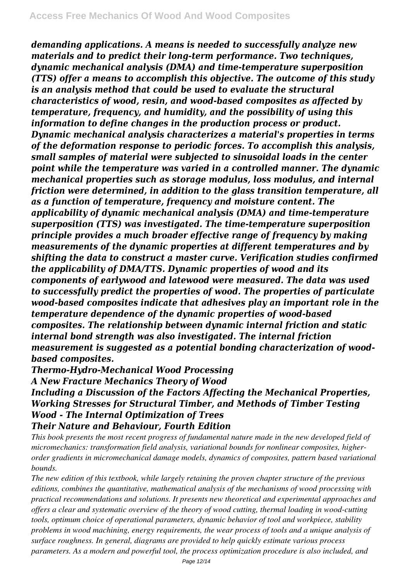*demanding applications. A means is needed to successfully analyze new materials and to predict their long-term performance. Two techniques, dynamic mechanical analysis (DMA) and time-temperature superposition (TTS) offer a means to accomplish this objective. The outcome of this study is an analysis method that could be used to evaluate the structural characteristics of wood, resin, and wood-based composites as affected by temperature, frequency, and humidity, and the possibility of using this information to define changes in the production process or product. Dynamic mechanical analysis characterizes a material's properties in terms of the deformation response to periodic forces. To accomplish this analysis, small samples of material were subjected to sinusoidal loads in the center point while the temperature was varied in a controlled manner. The dynamic mechanical properties such as storage modulus, loss modulus, and internal friction were determined, in addition to the glass transition temperature, all as a function of temperature, frequency and moisture content. The applicability of dynamic mechanical analysis (DMA) and time-temperature superposition (TTS) was investigated. The time-temperature superposition principle provides a much broader effective range of frequency by making measurements of the dynamic properties at different temperatures and by shifting the data to construct a master curve. Verification studies confirmed the applicability of DMA/TTS. Dynamic properties of wood and its components of earlywood and latewood were measured. The data was used to successfully predict the properties of wood. The properties of particulate wood-based composites indicate that adhesives play an important role in the temperature dependence of the dynamic properties of wood-based composites. The relationship between dynamic internal friction and static internal bond strength was also investigated. The internal friction measurement is suggested as a potential bonding characterization of woodbased composites.*

*Thermo-Hydro-Mechanical Wood Processing*

*A New Fracture Mechanics Theory of Wood*

#### *Including a Discussion of the Factors Affecting the Mechanical Properties, Working Stresses for Structural Timber, and Methods of Timber Testing Wood - The Internal Optimization of Trees Their Nature and Behaviour, Fourth Edition*

*This book presents the most recent progress of fundamental nature made in the new developed field of micromechanics: transformation field analysis, variational bounds for nonlinear composites, higherorder gradients in micromechanical damage models, dynamics of composites, pattern based variational bounds.*

*The new edition of this textbook, while largely retaining the proven chapter structure of the previous editions, combines the quantitative, mathematical analysis of the mechanisms of wood processing with practical recommendations and solutions. It presents new theoretical and experimental approaches and offers a clear and systematic overview of the theory of wood cutting, thermal loading in wood-cutting tools, optimum choice of operational parameters, dynamic behavior of tool and workpiece, stability problems in wood machining, energy requirements, the wear process of tools and a unique analysis of surface roughness. In general, diagrams are provided to help quickly estimate various process parameters. As a modern and powerful tool, the process optimization procedure is also included, and*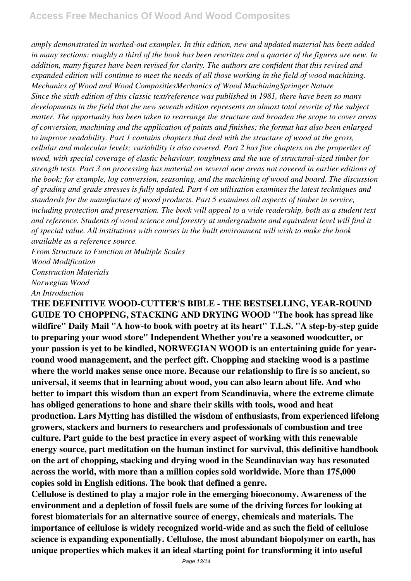*amply demonstrated in worked-out examples. In this edition, new and updated material has been added in many sections: roughly a third of the book has been rewritten and a quarter of the figures are new. In addition, many figures have been revised for clarity. The authors are confident that this revised and expanded edition will continue to meet the needs of all those working in the field of wood machining. Mechanics of Wood and Wood CompositiesMechanics of Wood MachiningSpringer Nature Since the sixth edition of this classic text/reference was published in 1981, there have been so many developments in the field that the new seventh edition represents an almost total rewrite of the subject matter. The opportunity has been taken to rearrange the structure and broaden the scope to cover areas of conversion, machining and the application of paints and finishes; the format has also been enlarged to improve readability. Part 1 contains chapters that deal with the structure of wood at the gross, cellular and molecular levels; variability is also covered. Part 2 has five chapters on the properties of wood, with special coverage of elastic behaviour, toughness and the use of structural-sized timber for strength tests. Part 3 on processing has material on several new areas not covered in earlier editions of the book; for example, log conversion, seasoning, and the machining of wood and board. The discussion of grading and grade stresses is fully updated. Part 4 on utilisation examines the latest techniques and standards for the manufacture of wood products. Part 5 examines all aspects of timber in service, including protection and preservation. The book will appeal to a wide readership, both as a student text and reference. Students of wood science and forestry at undergraduate and equivalent level will find it of special value. All institutions with courses in the built environment will wish to make the book available as a reference source.*

*From Structure to Function at Multiple Scales Wood Modification Construction Materials Norwegian Wood An Introduction*

**THE DEFINITIVE WOOD-CUTTER'S BIBLE - THE BESTSELLING, YEAR-ROUND GUIDE TO CHOPPING, STACKING AND DRYING WOOD "The book has spread like wildfire" Daily Mail "A how-to book with poetry at its heart" T.L.S. "A step-by-step guide to preparing your wood store" Independent Whether you're a seasoned woodcutter, or your passion is yet to be kindled, NORWEGIAN WOOD is an entertaining guide for yearround wood management, and the perfect gift. Chopping and stacking wood is a pastime where the world makes sense once more. Because our relationship to fire is so ancient, so universal, it seems that in learning about wood, you can also learn about life. And who better to impart this wisdom than an expert from Scandinavia, where the extreme climate has obliged generations to hone and share their skills with tools, wood and heat production. Lars Mytting has distilled the wisdom of enthusiasts, from experienced lifelong growers, stackers and burners to researchers and professionals of combustion and tree culture. Part guide to the best practice in every aspect of working with this renewable energy source, part meditation on the human instinct for survival, this definitive handbook on the art of chopping, stacking and drying wood in the Scandinavian way has resonated across the world, with more than a million copies sold worldwide. More than 175,000 copies sold in English editions. The book that defined a genre.**

**Cellulose is destined to play a major role in the emerging bioeconomy. Awareness of the environment and a depletion of fossil fuels are some of the driving forces for looking at forest biomaterials for an alternative source of energy, chemicals and materials. The importance of cellulose is widely recognized world-wide and as such the field of cellulose science is expanding exponentially. Cellulose, the most abundant biopolymer on earth, has unique properties which makes it an ideal starting point for transforming it into useful**